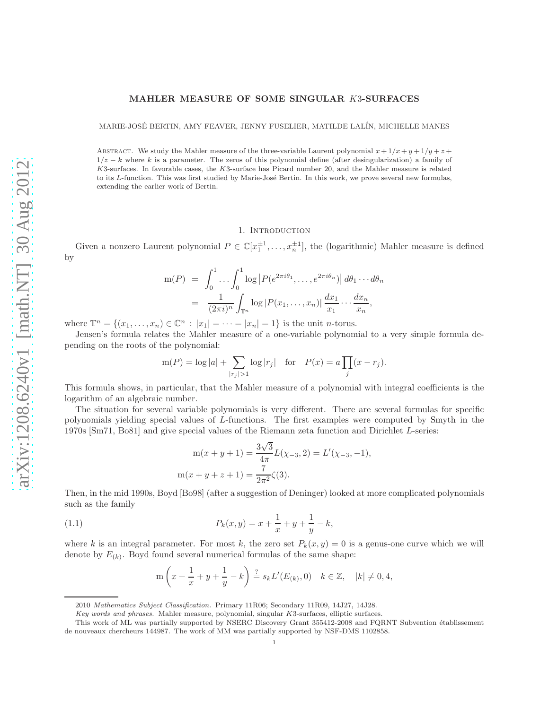## MAHLER MEASURE OF SOME SINGULAR K3-SURFACES

MARIE-JOSÉ BERTIN, AMY FEAVER, JENNY FUSELIER, MATILDE LALÍN, MICHELLE MANES

ABSTRACT. We study the Mahler measure of the three-variable Laurent polynomial  $x + 1/x + y + 1/y + z +$  $1/z - k$  where k is a parameter. The zeros of this polynomial define (after desingularization) a family of K3-surfaces. In favorable cases, the K3-surface has Picard number 20, and the Mahler measure is related to its L-function. This was first studied by Marie-José Bertin. In this work, we prove several new formulas, extending the earlier work of Bertin.

### 1. INTRODUCTION

Given a nonzero Laurent polynomial  $P \in \mathbb{C}[x_1^{\pm 1}, \ldots, x_n^{\pm 1}]$ , the (logarithmic) Mahler measure is defined by

$$
m(P) = \int_0^1 \dots \int_0^1 \log |P(e^{2\pi i \theta_1}, \dots, e^{2\pi i \theta_n})| d\theta_1 \dots d\theta_n
$$
  
= 
$$
\frac{1}{(2\pi i)^n} \int_{\mathbb{T}^n} \log |P(x_1, \dots, x_n)| \frac{dx_1}{x_1} \dots \frac{dx_n}{x_n},
$$

where  $\mathbb{T}^n = \{(x_1, ..., x_n) \in \mathbb{C}^n : |x_1| = \cdots = |x_n| = 1\}$  is the unit *n*-torus.

Jensen's formula relates the Mahler measure of a one-variable polynomial to a very simple formula depending on the roots of the polynomial:

$$
m(P) = \log |a| + \sum_{|r_j|>1} \log |r_j|
$$
 for  $P(x) = a \prod_j (x - r_j)$ .

This formula shows, in particular, that the Mahler measure of a polynomial with integral coefficients is the logarithm of an algebraic number.

The situation for several variable polynomials is very different. There are several formulas for specific polynomials yielding special values of L-functions. The first examples were computed by Smyth in the 1970s [Sm71, Bo81] and give special values of the Riemann zeta function and Dirichlet L-series:

$$
m(x + y + 1) = \frac{3\sqrt{3}}{4\pi}L(\chi_{-3}, 2) = L'(\chi_{-3}, -1),
$$
  

$$
m(x + y + z + 1) = \frac{7}{2\pi^2}\zeta(3).
$$

Then, in the mid 1990s, Boyd [Bo98] (after a suggestion of Deninger) looked at more complicated polynomials such as the family

(1.1) 
$$
P_k(x,y) = x + \frac{1}{x} + y + \frac{1}{y} - k,
$$

where k is an integral parameter. For most k, the zero set  $P_k(x, y) = 0$  is a genus-one curve which we will denote by  $E_{(k)}$ . Boyd found several numerical formulas of the same shape:

$$
m\left(x + \frac{1}{x} + y + \frac{1}{y} - k\right) \stackrel{?}{=} s_k L'(E_{(k)}, 0) \quad k \in \mathbb{Z}, \quad |k| \neq 0, 4,
$$

<sup>2010</sup> *Mathematics Subject Classification.* Primary 11R06; Secondary 11R09, 14J27, 14J28.

*Key words and phrases.* Mahler measure, polynomial, singular K3-surfaces, elliptic surfaces.

This work of ML was partially supported by NSERC Discovery Grant 355412-2008 and FQRNT Subvention établissement de nouveaux chercheurs 144987. The work of MM was partially supported by NSF-DMS 1102858.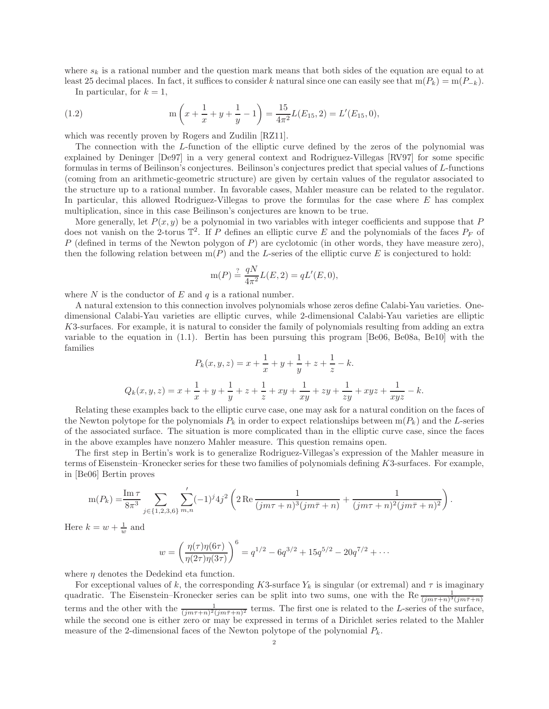where  $s_k$  is a rational number and the question mark means that both sides of the equation are equal to at least 25 decimal places. In fact, it suffices to consider k natural since one can easily see that  $m(P_k) = m(P_{-k})$ .

In particular, for  $k = 1$ ,

(1.2) 
$$
m\left(x+\frac{1}{x}+y+\frac{1}{y}-1\right)=\frac{15}{4\pi^2}L(E_{15},2)=L'(E_{15},0),
$$

which was recently proven by Rogers and Zudilin [RZ11].

The connection with the L-function of the elliptic curve defined by the zeros of the polynomial was explained by Deninger [De97] in a very general context and Rodriguez-Villegas [RV97] for some specific formulas in terms of Beilinson's conjectures. Beilinson's conjectures predict that special values of L-functions (coming from an arithmetic-geometric structure) are given by certain values of the regulator associated to the structure up to a rational number. In favorable cases, Mahler measure can be related to the regulator. In particular, this allowed Rodriguez-Villegas to prove the formulas for the case where  $E$  has complex multiplication, since in this case Beilinson's conjectures are known to be true.

More generally, let  $P(x, y)$  be a polynomial in two variables with integer coefficients and suppose that P does not vanish on the 2-torus  $\mathbb{T}^2$ . If P defines an elliptic curve E and the polynomials of the faces  $P_F$  of P (defined in terms of the Newton polygon of P) are cyclotomic (in other words, they have measure zero), then the following relation between  $m(P)$  and the L-series of the elliptic curve E is conjectured to hold:

$$
m(P) \stackrel{?}{=} \frac{qN}{4\pi^2} L(E, 2) = qL'(E, 0),
$$

where N is the conductor of E and  $q$  is a rational number.

A natural extension to this connection involves polynomials whose zeros define Calabi-Yau varieties. Onedimensional Calabi-Yau varieties are elliptic curves, while 2-dimensional Calabi-Yau varieties are elliptic K3-surfaces. For example, it is natural to consider the family of polynomials resulting from adding an extra variable to the equation in (1.1). Bertin has been pursuing this program [Be06, Be08a, Be10] with the families

$$
P_k(x, y, z) = x + \frac{1}{x} + y + \frac{1}{y} + z + \frac{1}{z} - k.
$$
  

$$
Q_k(x, y, z) = x + \frac{1}{x} + y + \frac{1}{y} + z + \frac{1}{z} + xy + \frac{1}{xy} + zy + \frac{1}{zy} + xyz + \frac{1}{xyz} - k.
$$

Relating these examples back to the elliptic curve case, one may ask for a natural condition on the faces of the Newton polytope for the polynomials  $P_k$  in order to expect relationships between  $m(P_k)$  and the L-series of the associated surface. The situation is more complicated than in the elliptic curve case, since the faces in the above examples have nonzero Mahler measure. This question remains open.

The first step in Bertin's work is to generalize Rodriguez-Villegas's expression of the Mahler measure in terms of Eisenstein–Kronecker series for these two families of polynomials defining K3-surfaces. For example, in [Be06] Bertin proves

$$
m(P_k) = \frac{\operatorname{Im} \tau}{8\pi^3} \sum_{j \in \{1,2,3,6\}} \sum'_{m,n} (-1)^j 4j^2 \left( 2 \operatorname{Re} \frac{1}{(jm\tau+n)^3(jm\bar{\tau}+n)} + \frac{1}{(jm\tau+n)^2(jm\bar{\tau}+n)^2} \right).
$$

Here  $k = w + \frac{1}{w}$  and

$$
w = \left(\frac{\eta(\tau)\eta(6\tau)}{\eta(2\tau)\eta(3\tau)}\right)^6 = q^{1/2} - 6q^{3/2} + 15q^{5/2} - 20q^{7/2} + \cdots
$$

where  $\eta$  denotes the Dedekind eta function.

For exceptional values of k, the corresponding K3-surface  $Y_k$  is singular (or extremal) and  $\tau$  is imaginary quadratic. The Eisenstein–Kronecker series can be split into two sums, one with the Re  $\frac{1}{(jm\tau+n)^3(jm\bar{\tau}+n)}$ terms and the other with the  $\frac{1}{(jm\tau+n)^2(jm\bar{\tau}+n)^2}$  terms. The first one is related to the L-series of the surface, while the second one is either zero or may be expressed in terms of a Dirichlet series related to the Mahler measure of the 2-dimensional faces of the Newton polytope of the polynomial  $P_k$ .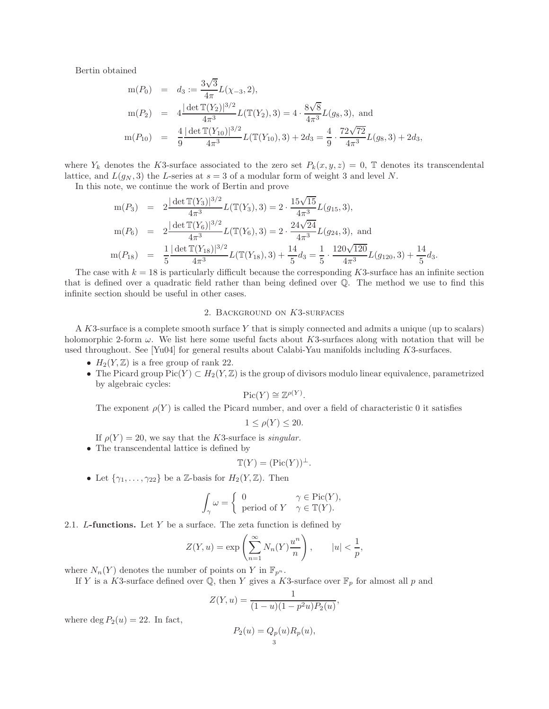Bertin obtained

$$
m(P_0) = d_3 := \frac{3\sqrt{3}}{4\pi} L(\chi_{-3}, 2),
$$
  
\n
$$
m(P_2) = 4 \frac{|\det \mathbb{T}(Y_2)|^{3/2}}{4\pi^3} L(\mathbb{T}(Y_2), 3) = 4 \cdot \frac{8\sqrt{8}}{4\pi^3} L(g_8, 3),
$$
 and  
\n
$$
m(P_{10}) = \frac{4}{9} \frac{|\det \mathbb{T}(Y_{10})|^{3/2}}{4\pi^3} L(\mathbb{T}(Y_{10}), 3) + 2d_3 = \frac{4}{9} \cdot \frac{72\sqrt{72}}{4\pi^3} L(g_8, 3) + 2d_3,
$$

where  $Y_k$  denotes the K3-surface associated to the zero set  $P_k(x, y, z) = 0$ , T denotes its transcendental lattice, and  $L(g_N, 3)$  the L-series at  $s = 3$  of a modular form of weight 3 and level N.

In this note, we continue the work of Bertin and prove

$$
m(P_3) = 2 \frac{|\det \mathbb{T}(Y_3)|^{3/2}}{4\pi^3} L(\mathbb{T}(Y_3), 3) = 2 \cdot \frac{15\sqrt{15}}{4\pi^3} L(g_{15}, 3),
$$
  
\n
$$
m(P_6) = 2 \frac{|\det \mathbb{T}(Y_6)|^{3/2}}{4\pi^3} L(\mathbb{T}(Y_6), 3) = 2 \cdot \frac{24\sqrt{24}}{4\pi^3} L(g_{24}, 3),
$$
 and  
\n
$$
m(P_{18}) = \frac{1}{5} \frac{|\det \mathbb{T}(Y_{18})|^{3/2}}{4\pi^3} L(\mathbb{T}(Y_{18}), 3) + \frac{14}{5} d_3 = \frac{1}{5} \cdot \frac{120\sqrt{120}}{4\pi^3} L(g_{120}, 3) + \frac{14}{5} d_3.
$$

The case with  $k = 18$  is particularly difficult because the corresponding K3-surface has an infinite section that is defined over a quadratic field rather than being defined over Q. The method we use to find this infinite section should be useful in other cases.

### 2. Background on K3-surfaces

A K3-surface is a complete smooth surface Y that is simply connected and admits a unique (up to scalars) holomorphic 2-form  $\omega$ . We list here some useful facts about K3-surfaces along with notation that will be used throughout. See [Yu04] for general results about Calabi-Yau manifolds including K3-surfaces.

- $H_2(Y, \mathbb{Z})$  is a free group of rank 22.
- The Picard group  $Pic(Y) \subset H_2(Y, \mathbb{Z})$  is the group of divisors modulo linear equivalence, parametrized by algebraic cycles:

$$
\operatorname{Pic}(Y) \cong \mathbb{Z}^{\rho(Y)}.
$$

The exponent  $\rho(Y)$  is called the Picard number, and over a field of characteristic 0 it satisfies

$$
1 \le \rho(Y) \le 20.
$$

If  $\rho(Y) = 20$ , we say that the K3-surface is singular.

• The transcendental lattice is defined by

$$
\mathbb{T}(Y) = (\text{Pic}(Y))^{\perp}.
$$

• Let  $\{\gamma_1, \ldots, \gamma_{22}\}$  be a Z-basis for  $H_2(Y, \mathbb{Z})$ . Then

$$
\int_{\gamma} \omega = \begin{cases} 0 & \gamma \in \text{Pic}(Y), \\ \text{period of } Y & \gamma \in \mathbb{T}(Y). \end{cases}
$$

2.1. L-functions. Let  $Y$  be a surface. The zeta function is defined by

$$
Z(Y, u) = \exp\left(\sum_{n=1}^{\infty} N_n(Y)\frac{u^n}{n}\right), \qquad |u| < \frac{1}{p},
$$

where  $N_n(Y)$  denotes the number of points on Y in  $\mathbb{F}_{p^n}$ .

If Y is a K3-surface defined over  $\mathbb{Q}$ , then Y gives a K3-surface over  $\mathbb{F}_p$  for almost all p and

$$
Z(Y, u) = \frac{1}{(1 - u)(1 - p^2u)P_2(u)}
$$

$$
P_2(u) = Q_p(u)R_p(u),
$$

,

where deg  $P_2(u) = 22$ . In fact,

$$
)=Q_p(u)
$$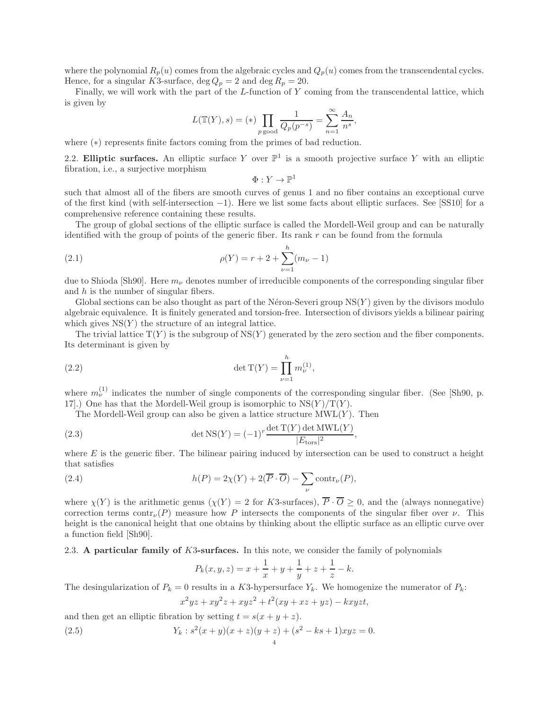where the polynomial  $R_p(u)$  comes from the algebraic cycles and  $Q_p(u)$  comes from the transcendental cycles. Hence, for a singular K3-surface, deg  $Q_p = 2$  and deg  $R_p = 20$ .

Finally, we will work with the part of the L-function of Y coming from the transcendental lattice, which is given by

$$
L(\mathbb{T}(Y), s) = (*) \prod_{p \text{ good}} \frac{1}{Q_p(p^{-s})} = \sum_{n=1}^{\infty} \frac{A_n}{n^s},
$$

where (∗) represents finite factors coming from the primes of bad reduction.

2.2. Elliptic surfaces. An elliptic surface Y over  $\mathbb{P}^1$  is a smooth projective surface Y with an elliptic fibration, i.e., a surjective morphism

$$
\Phi: Y \to \mathbb{P}^1
$$

such that almost all of the fibers are smooth curves of genus 1 and no fiber contains an exceptional curve of the first kind (with self-intersection −1). Here we list some facts about elliptic surfaces. See [SS10] for a comprehensive reference containing these results.

The group of global sections of the elliptic surface is called the Mordell-Weil group and can be naturally identified with the group of points of the generic fiber. Its rank  $r$  can be found from the formula

(2.1) 
$$
\rho(Y) = r + 2 + \sum_{\nu=1}^{h} (m_{\nu} - 1)
$$

due to Shioda [Sh90]. Here  $m_{\nu}$  denotes number of irreducible components of the corresponding singular fiber and  $h$  is the number of singular fibers.

Global sections can be also thought as part of the Néron-Severi group  $NS(Y)$  given by the divisors modulo algebraic equivalence. It is finitely generated and torsion-free. Intersection of divisors yields a bilinear pairing which gives  $NS(Y)$  the structure of an integral lattice.

The trivial lattice  $T(Y)$  is the subgroup of  $NS(Y)$  generated by the zero section and the fiber components. Its determinant is given by

(2.2) 
$$
\det \mathrm{T}(Y) = \prod_{\nu=1}^{h} m_{\nu}^{(1)},
$$

where  $m_{\nu}^{(1)}$  indicates the number of single components of the corresponding singular fiber. (See [Sh90, p. 17].) One has that the Mordell-Weil group is isomorphic to  $NS(Y)/T(Y)$ .

The Mordell-Weil group can also be given a lattice structure  $\text{MWL}(Y)$ . Then

(2.3) 
$$
\det \text{NS}(Y) = (-1)^r \frac{\det \text{T}(Y) \det \text{MWL}(Y)}{|E_{\text{tors}}|^2}
$$

where  $E$  is the generic fiber. The bilinear pairing induced by intersection can be used to construct a height that satisfies

,

(2.4) 
$$
h(P) = 2\chi(Y) + 2(\overline{P} \cdot \overline{O}) - \sum_{\nu} \text{contr}_{\nu}(P),
$$

where  $\chi(Y)$  is the arithmetic genus  $(\chi(Y)) = 2$  for K3-surfaces),  $\overline{P} \cdot \overline{O} \ge 0$ , and the (always nonnegative) correction terms contr<sub>v</sub>(P) measure how P intersects the components of the singular fiber over v. This height is the canonical height that one obtains by thinking about the elliptic surface as an elliptic curve over a function field [Sh90].

2.3. A particular family of K3-surfaces. In this note, we consider the family of polynomials

$$
P_k(x, y, z) = x + \frac{1}{x} + y + \frac{1}{y} + z + \frac{1}{z} - k.
$$

The desingularization of  $P_k = 0$  results in a K3-hypersurface  $Y_k$ . We homogenize the numerator of  $P_k$ :

$$
x^2yz + xy^2z + xyz^2 + t^2(xy + xz + yz) - kxyzt,
$$

and then get an elliptic fibration by setting  $t = s(x + y + z)$ .

(2.5) 
$$
Y_k : s^2(x+y)(x+z)(y+z) + (s^2 - ks + 1)xyz = 0.
$$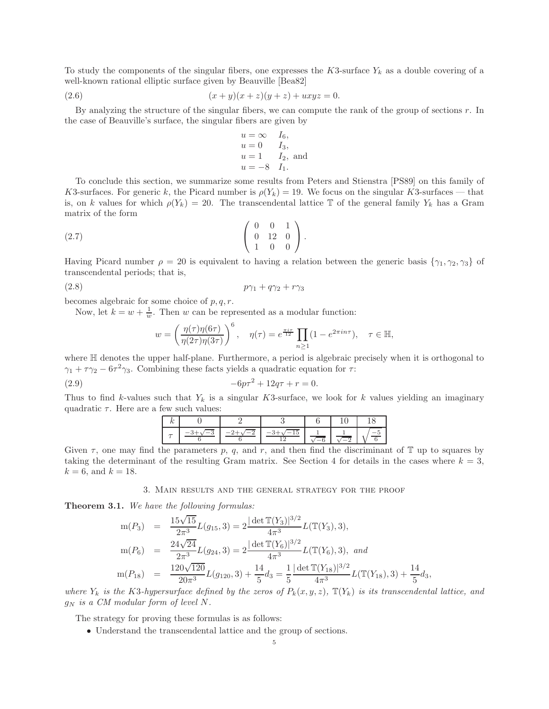To study the components of the singular fibers, one expresses the K3-surface  $Y_k$  as a double covering of a well-known rational elliptic surface given by Beauville [Bea82]

(2.6) 
$$
(x+y)(x+z)(y+z) + uxyz = 0.
$$

By analyzing the structure of the singular fibers, we can compute the rank of the group of sections r. In the case of Beauville's surface, the singular fibers are given by

$$
u = \infty
$$
  $I_6$ ,  
\n $u = 0$   $I_3$ ,  
\n $u = 1$   $I_2$ , and  
\n $u = -8$   $I_1$ .

To conclude this section, we summarize some results from Peters and Stienstra [PS89] on this family of K3-surfaces. For generic k, the Picard number is  $\rho(Y_k) = 19$ . We focus on the singular K3-surfaces — that is, on k values for which  $\rho(Y_k) = 20$ . The transcendental lattice T of the general family  $Y_k$  has a Gram matrix of the form

$$
(2.7) \qquad \begin{pmatrix} 0 & 0 & 1 \\ 0 & 12 & 0 \\ 1 & 0 & 0 \end{pmatrix}.
$$

Having Picard number  $\rho = 20$  is equivalent to having a relation between the generic basis  $\{\gamma_1, \gamma_2, \gamma_3\}$  of transcendental periods; that is,

(2.8) pγ<sup>1</sup> + qγ<sup>2</sup> + rγ<sup>3</sup>

becomes algebraic for some choice of  $p, q, r$ .

Now, let  $k = w + \frac{1}{w}$ . Then w can be represented as a modular function:

$$
w = \left(\frac{\eta(\tau)\eta(6\tau)}{\eta(2\tau)\eta(3\tau)}\right)^6, \quad \eta(\tau) = e^{\frac{\pi i \tau}{12}} \prod_{n \ge 1} (1 - e^{2\pi i n \tau}), \quad \tau \in \mathbb{H},
$$

where H denotes the upper half-plane. Furthermore, a period is algebraic precisely when it is orthogonal to  $\gamma_1 + \tau \gamma_2 - 6\tau^2 \gamma_3$ . Combining these facts yields a quadratic equation for  $\tau$ :

(2.9) 
$$
-6p\tau^2 + 12q\tau + r = 0.
$$

Thus to find k-values such that  $Y_k$  is a singular K3-surface, we look for k values yielding an imaginary quadratic  $\tau$ . Here are a few such values:

Given  $\tau$ , one may find the parameters p, q, and r, and then find the discriminant of T up to squares by taking the determinant of the resulting Gram matrix. See Section 4 for details in the cases where  $k = 3$ ,  $k = 6$ , and  $k = 18$ .

3. Main results and the general strategy for the proof

Theorem 3.1. We have the following formulas:

$$
m(P_3) = \frac{15\sqrt{15}}{2\pi^3} L(g_{15}, 3) = 2 \frac{|\det \mathbb{T}(Y_3)|^{3/2}}{4\pi^3} L(\mathbb{T}(Y_3), 3),
$$
  
\n
$$
m(P_6) = \frac{24\sqrt{24}}{2\pi^3} L(g_{24}, 3) = 2 \frac{|\det \mathbb{T}(Y_6)|^{3/2}}{4\pi^3} L(\mathbb{T}(Y_6), 3), and
$$
  
\n
$$
m(P_{18}) = \frac{120\sqrt{120}}{20\pi^3} L(g_{120}, 3) + \frac{14}{5} d_3 = \frac{1}{5} \frac{|\det \mathbb{T}(Y_{18})|^{3/2}}{4\pi^3} L(\mathbb{T}(Y_{18}), 3) + \frac{14}{5} d_3,
$$

where  $Y_k$  is the K3-hypersurface defined by the zeros of  $P_k(x, y, z)$ ,  $\mathbb{T}(Y_k)$  is its transcendental lattice, and  $g_N$  is a CM modular form of level N.

The strategy for proving these formulas is as follows:

• Understand the transcendental lattice and the group of sections.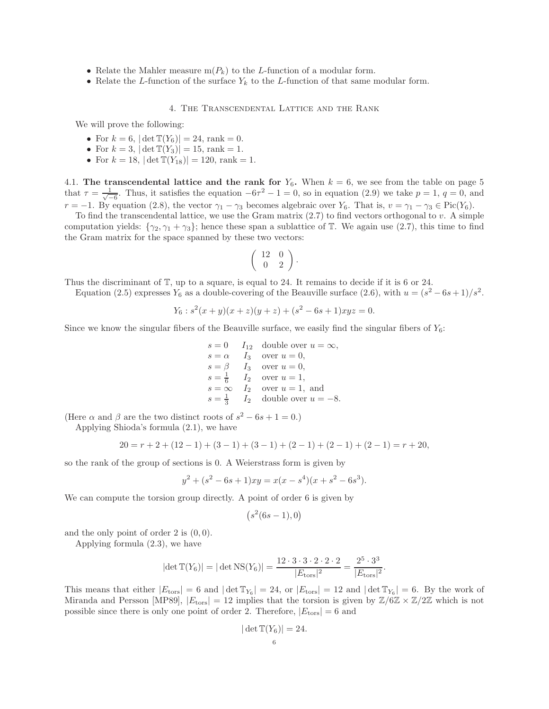- Relate the Mahler measure  $m(P_k)$  to the L-function of a modular form.
- Relate the L-function of the surface  $Y_k$  to the L-function of that same modular form.

# 4. The Transcendental Lattice and the Rank

We will prove the following:

- For  $k = 6$ ,  $|\det \mathbb{T}(Y_6)| = 24$ , rank = 0.
- For  $k = 3$ ,  $|\det T(Y_3)| = 15$ , rank = 1.
- For  $k = 18$ ,  $|\det \mathbb{T}(Y_{18})| = 120$ , rank = 1.

4.1. The transcendental lattice and the rank for  $Y_6$ . When  $k = 6$ , we see from the table on page 5 that  $\tau = \frac{1}{\sqrt{2}}$  $\frac{1}{-6}$ . Thus, it satisfies the equation  $-6\tau^2 - 1 = 0$ , so in equation (2.9) we take  $p = 1$ ,  $q = 0$ , and  $r = -1$ . By equation (2.8), the vector  $\gamma_1 - \gamma_3$  becomes algebraic over  $Y_6$ . That is,  $v = \gamma_1 - \gamma_3 \in Pic(Y_6)$ .

To find the transcendental lattice, we use the Gram matrix  $(2.7)$  to find vectors orthogonal to v. A simple computation yields:  $\{\gamma_2, \gamma_1 + \gamma_3\}$ ; hence these span a sublattice of T. We again use (2.7), this time to find the Gram matrix for the space spanned by these two vectors:

$$
\left(\begin{array}{cc} 12 & 0 \\ 0 & 2 \end{array}\right).
$$

Thus the discriminant of T, up to a square, is equal to 24. It remains to decide if it is 6 or 24.

Equation (2.5) expresses  $Y_6$  as a double-covering of the Beauville surface (2.6), with  $u = (s^2 - 6s + 1)/s^2$ .

$$
Y_6: s^2(x+y)(x+z)(y+z) + (s^2 - 6s + 1)xyz = 0.
$$

Since we know the singular fibers of the Beauville surface, we easily find the singular fibers of  $Y_6$ :

$$
s = 0 \t I_{12} \t double over  $u = \infty$ ,  
\n
$$
s = \alpha \t I_3 \t over  $u = 0$ ,  
\n
$$
s = \beta \t I_3 \t over  $u = 0$ ,  
\n
$$
s = \frac{1}{6} \t I_2 \t over  $u = 1$ ,  
\n
$$
s = \infty \t I_2 \t over  $u = 1$ , and  
\n
$$
s = \frac{1}{3} \t I_2 \t double over  $u = -8$ .
$$
$$
$$
$$
$$
$$

(Here  $\alpha$  and  $\beta$  are the two distinct roots of  $s^2 - 6s + 1 = 0$ .)

Applying Shioda's formula (2.1), we have

$$
20 = r + 2 + (12 - 1) + (3 - 1) + (3 - 1) + (2 - 1) + (2 - 1) + (2 - 1) = r + 20,
$$

so the rank of the group of sections is 0. A Weierstrass form is given by

$$
y^{2} + (s^{2} - 6s + 1)xy = x(x - s^{4})(x + s^{2} - 6s^{3}).
$$

We can compute the torsion group directly. A point of order 6 is given by

$$
(s^2(6s-1),0)
$$

and the only point of order 2 is  $(0, 0)$ .

Applying formula (2.3), we have

$$
|\det \mathbb{T}(Y_6)| = |\det \mathrm{NS}(Y_6)| = \frac{12 \cdot 3 \cdot 3 \cdot 2 \cdot 2 \cdot 2}{|E_{\text{tors}}|^2} = \frac{2^5 \cdot 3^3}{|E_{\text{tors}}|^2}.
$$

This means that either  $|E_{\text{tors}}| = 6$  and  $|\det T_{Y_6}| = 24$ , or  $|E_{\text{tors}}| = 12$  and  $|\det T_{Y_6}| = 6$ . By the work of Miranda and Persson [MP89],  $|E_{\text{tors}}| = 12$  implies that the torsion is given by  $\mathbb{Z}/6\mathbb{Z} \times \mathbb{Z}/2\mathbb{Z}$  which is not possible since there is only one point of order 2. Therefore,  $|E_{\text{tors}}| = 6$  and

$$
|\det \mathbb{T}(Y_6)| = 24.
$$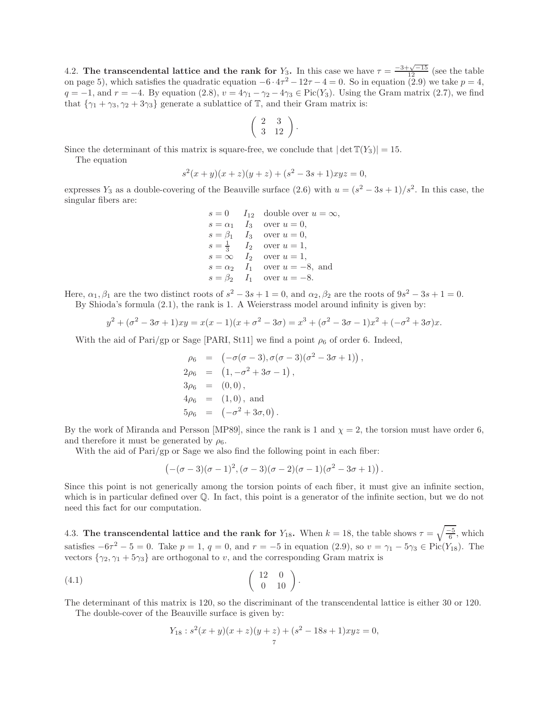4.2. The transcendental lattice and the rank for  $Y_3$ . In this case we have  $\tau = \frac{-3+\sqrt{-15}}{12}$  (see the table on page 5), which satisfies the quadratic equation  $-6 \cdot 4\tau^2 - 12\tau - 4 = 0$ . So in equation (2.9) we take  $p = 4$ ,  $q = -1$ , and  $r = -4$ . By equation (2.8),  $v = 4\gamma_1 - \gamma_2 - 4\gamma_3 \in Pic(Y_3)$ . Using the Gram matrix (2.7), we find that  $\{\gamma_1 + \gamma_3, \gamma_2 + 3\gamma_3\}$  generate a sublattice of  $\mathbb{T}$ , and their Gram matrix is:

$$
\left(\begin{array}{cc} 2 & 3 \\ 3 & 12 \end{array}\right).
$$

Since the determinant of this matrix is square-free, we conclude that  $|\det T(Y_3)| = 15$ .

The equation

$$
s2(x + y)(x + z)(y + z) + (s2 – 3s + 1)xyz = 0,
$$

expresses  $Y_3$  as a double-covering of the Beauville surface (2.6) with  $u = (s^2 - 3s + 1)/s^2$ . In this case, the singular fibers are:

> $s = 0$   $I_{12}$  double over  $u = \infty$ ,  $s = \alpha_1$   $I_3$  over  $u = 0$ ,  $s = \beta_1$   $I_3$  over  $u = 0$ ,  $s = \frac{1}{3}$   $I_2$  over  $u = 1$ ,  $s = \infty$   $I_2$  over  $u = 1$ ,  $s = \alpha_2 \quad I_1$  over  $u = -8$ , and  $s = \beta_2 \quad I_1 \quad \text{over } u = -8.$

Here,  $\alpha_1, \beta_1$  are the two distinct roots of  $s^2 - 3s + 1 = 0$ , and  $\alpha_2, \beta_2$  are the roots of  $9s^2 - 3s + 1 = 0$ . By Shioda's formula (2.1), the rank is 1. A Weierstrass model around infinity is given by:

$$
y^{2} + (\sigma^{2} - 3\sigma + 1)xy = x(x - 1)(x + \sigma^{2} - 3\sigma) = x^{3} + (\sigma^{2} - 3\sigma - 1)x^{2} + (-\sigma^{2} + 3\sigma)x.
$$

With the aid of Pari/gp or Sage [PARI, St11] we find a point  $\rho_6$  of order 6. Indeed,

$$
\rho_6 = (-\sigma(\sigma - 3), \sigma(\sigma - 3)(\sigma^2 - 3\sigma + 1)), \n2\rho_6 = (1, -\sigma^2 + 3\sigma - 1), \n3\rho_6 = (0, 0), \n4\rho_6 = (1, 0), and \n5\rho_6 = (-\sigma^2 + 3\sigma, 0).
$$

By the work of Miranda and Persson [MP89], since the rank is 1 and  $\chi = 2$ , the torsion must have order 6, and therefore it must be generated by  $\rho_6$ .

With the aid of Pari/gp or Sage we also find the following point in each fiber:

$$
(-( \sigma - 3) (\sigma - 1)^2, (\sigma - 3) (\sigma - 2) (\sigma - 1) (\sigma^2 - 3 \sigma + 1)) .
$$

Since this point is not generically among the torsion points of each fiber, it must give an infinite section, which is in particular defined over  $\mathbb Q$ . In fact, this point is a generator of the infinite section, but we do not need this fact for our computation.

4.3. The transcendental lattice and the rank for  $Y_{18}$ . When  $k = 18$ , the table shows  $\tau = \sqrt{\frac{-5}{6}}$ , which satisfies  $-6\tau^2 - 5 = 0$ . Take  $p = 1, q = 0$ , and  $r = -5$  in equation (2.9), so  $v = \gamma_1 - 5\gamma_3 \in Pic(Y_{18})$ . The vectors  $\{\gamma_2, \gamma_1 + 5\gamma_3\}$  are orthogonal to v, and the corresponding Gram matrix is

$$
(4.1) \qquad \qquad \begin{pmatrix} 12 & 0 \\ 0 & 10 \end{pmatrix}.
$$

The determinant of this matrix is 120, so the discriminant of the transcendental lattice is either 30 or 120.

The double-cover of the Beauville surface is given by:

$$
Y_{18}: s2(x + y)(x + z)(y + z) + (s2 - 18s + 1)xyz = 0,
$$
  
<sub>7</sub>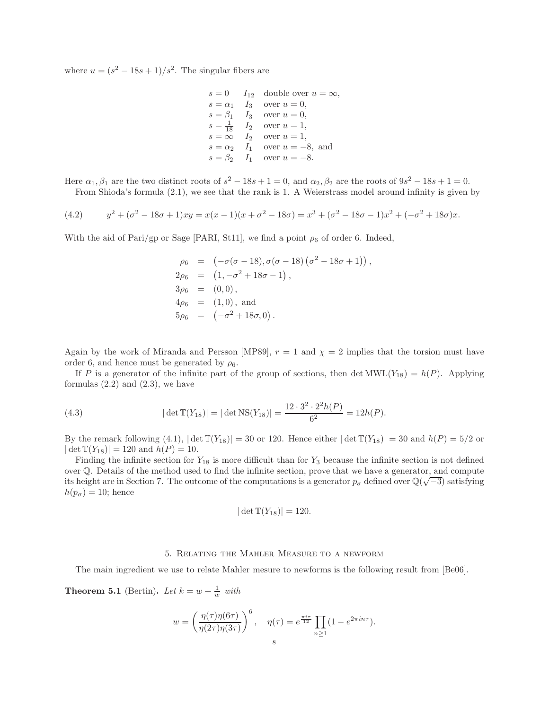where  $u = (s^2 - 18s + 1)/s^2$ . The singular fibers are

$$
s = 0 \t I_{12} \t double over  $u = \infty$ ,  
\n
$$
s = \alpha_1 \t I_3 \t over  $u = 0$ ,  
\n
$$
s = \beta_1 \t I_3 \t over  $u = 0$ ,  
\n
$$
s = \frac{1}{18} \t I_2 \t over  $u = 1$ ,  
\n
$$
s = \infty \t I_2 \t over  $u = 1$ ,  
\n
$$
s = \alpha_2 \t I_1 \t over  $u = -8$ , and  
\n
$$
s = \beta_2 \t I_1 \t over  $u = -8$ .
$$
$$
$$
$$
$$
$$
$$

Here  $\alpha_1, \beta_1$  are the two distinct roots of  $s^2 - 18s + 1 = 0$ , and  $\alpha_2, \beta_2$  are the roots of  $9s^2 - 18s + 1 = 0$ . From Shioda's formula (2.1), we see that the rank is 1. A Weierstrass model around infinity is given by

(4.2) 
$$
y^2 + (\sigma^2 - 18\sigma + 1)xy = x(x - 1)(x + \sigma^2 - 18\sigma) = x^3 + (\sigma^2 - 18\sigma - 1)x^2 + (-\sigma^2 + 18\sigma)x.
$$

With the aid of Pari/gp or Sage [PARI, St11], we find a point  $\rho_6$  of order 6. Indeed,

$$
\rho_6 = (-\sigma(\sigma - 18), \sigma(\sigma - 18) (\sigma^2 - 18\sigma + 1)),
$$
  
\n
$$
2\rho_6 = (1, -\sigma^2 + 18\sigma - 1),
$$
  
\n
$$
3\rho_6 = (0, 0),
$$
  
\n
$$
4\rho_6 = (1, 0), \text{ and}
$$
  
\n
$$
5\rho_6 = (-\sigma^2 + 18\sigma, 0).
$$

Again by the work of Miranda and Persson [MP89],  $r = 1$  and  $\chi = 2$  implies that the torsion must have order 6, and hence must be generated by  $\rho_6$ .

If P is a generator of the infinite part of the group of sections, then det  $MWL(Y_{18}) = h(P)$ . Applying formulas  $(2.2)$  and  $(2.3)$ , we have

(4.3) 
$$
|\det \mathbb{T}(Y_{18})| = |\det \mathrm{NS}(Y_{18})| = \frac{12 \cdot 3^2 \cdot 2^2 h(P)}{6^2} = 12h(P).
$$

By the remark following (4.1),  $|\det \mathbb{T}(Y_{18})| = 30$  or 120. Hence either  $|\det \mathbb{T}(Y_{18})| = 30$  and  $h(P) = 5/2$  or  $|\det \mathbb{T}(Y_{18})| = 120$  and  $h(P) = 10$ .

Finding the infinite section for  $Y_{18}$  is more difficult than for  $Y_3$  because the infinite section is not defined over Q. Details of the method used to find the infinite section, prove that we have a generator, and compute its height are in Section 7. The outcome of the computations is a generator  $p_{\sigma}$  defined over  $\mathbb{Q}(\sqrt{-3})$  satisfying  $h(p_{\sigma}) = 10$ ; hence

$$
|\det \mathbb{T}(Y_{18})|=120.
$$

### 5. Relating the Mahler Measure to a newform

The main ingredient we use to relate Mahler mesure to newforms is the following result from [Be06].

**Theorem 5.1** (Bertin). Let  $k = w + \frac{1}{w}$  with

$$
w = \left(\frac{\eta(\tau)\eta(6\tau)}{\eta(2\tau)\eta(3\tau)}\right)^6, \quad \eta(\tau) = e^{\frac{\pi i \tau}{12}} \prod_{n \ge 1} (1 - e^{2\pi i n \tau}).
$$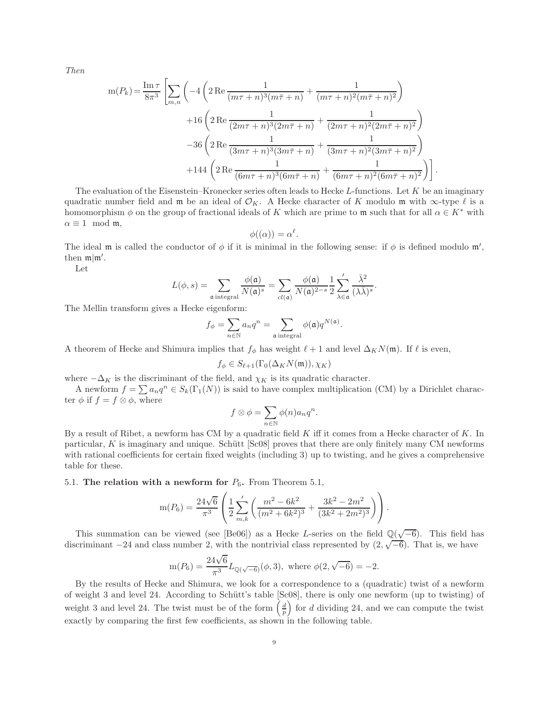Then

$$
m(P_k) = \frac{\text{Im}\,\tau}{8\pi^3} \left[ \sum_{m,n} \left( -4 \left( 2 \text{Re} \frac{1}{(m\tau + n)^3 (m\bar{\tau} + n)} + \frac{1}{(m\tau + n)^2 (m\bar{\tau} + n)^2} \right) + 16 \left( 2 \text{Re} \frac{1}{(2m\tau + n)^3 (2m\bar{\tau} + n)} + \frac{1}{(2m\tau + n)^2 (2m\bar{\tau} + n)^2} \right) - 36 \left( 2 \text{Re} \frac{1}{(3m\tau + n)^3 (3m\bar{\tau} + n)} + \frac{1}{(3m\tau + n)^2 (3m\bar{\tau} + n)^2} \right) + 144 \left( 2 \text{Re} \frac{1}{(6m\tau + n)^3 (6m\bar{\tau} + n)} + \frac{1}{(6m\tau + n)^2 (6m\bar{\tau} + n)^2} \right) \right].
$$

The evaluation of the Eisenstein–Kronecker series often leads to Hecke L-functions. Let  $K$  be an imaginary quadratic number field and m be an ideal of  $\mathcal{O}_K$ . A Hecke character of K modulo m with  $\infty$ -type  $\ell$  is a homomorphism  $\phi$  on the group of fractional ideals of K which are prime to m such that for all  $\alpha \in K^*$  with  $\alpha \equiv 1 \mod m$ ,

$$
\phi((\alpha)) = \alpha^{\ell}.
$$

The ideal m is called the conductor of  $\phi$  if it is minimal in the following sense: if  $\phi$  is defined modulo m', then  $\mathfrak{m}|\mathfrak{m}'$ .

Let

$$
L(\phi, s) = \sum_{\mathfrak{a} \text{ integral}} \frac{\phi(\mathfrak{a})}{N(\mathfrak{a})^s} = \sum_{cl(\mathfrak{a})} \frac{\phi(\mathfrak{a})}{N(\mathfrak{a})^{2-s}} \frac{1}{2} \sum_{\lambda \in \mathfrak{a}}' \frac{\bar{\lambda}^2}{(\lambda \bar{\lambda})^s}
$$

.

.

The Mellin transform gives a Hecke eigenform:

$$
f_{\phi} = \sum_{n \in \mathbb{N}} a_n q^n = \sum_{\mathfrak{a} \text{ integral}} \phi(\mathfrak{a}) q^{N(\mathfrak{a})}
$$

A theorem of Hecke and Shimura implies that  $f_{\phi}$  has weight  $\ell + 1$  and level  $\Delta_K N(\mathfrak{m})$ . If  $\ell$  is even,

$$
f_{\phi} \in S_{\ell+1}(\Gamma_0(\Delta_K N(\mathfrak{m})), \chi_K)
$$

where  $-\Delta_K$  is the discriminant of the field, and  $\chi_K$  is its quadratic character.

A newform  $f = \sum a_n q^n \in S_k(\Gamma_1(N))$  is said to have complex multiplication (CM) by a Dirichlet character  $\phi$  if  $f = f \otimes \phi$ , where

$$
f \otimes \phi = \sum_{n \in \mathbb{N}} \phi(n) a_n q^n.
$$

By a result of Ribet, a newform has CM by a quadratic field  $K$  iff it comes from a Hecke character of  $K$ . In particular, K is imaginary and unique. Schütt  $[Sc08]$  proves that there are only finitely many CM newforms with rational coefficients for certain fixed weights (including 3) up to twisting, and he gives a comprehensive table for these.

5.1. The relation with a newform for  $P_6$ . From Theorem 5.1,

$$
m(P_6) = \frac{24\sqrt{6}}{\pi^3} \left( \frac{1}{2} \sum_{m,k}^{\prime} \left( \frac{m^2 - 6k^2}{(m^2 + 6k^2)^3} + \frac{3k^2 - 2m^2}{(3k^2 + 2m^2)^3} \right) \right).
$$

This summation can be viewed (see [Be06]) as a Hecke L-series on the field  $\mathbb{Q}(\sqrt{-6})$ . This field has discriminant  $-24$  and class number 2, with the nontrivial class represented by  $(2, \sqrt{-6})$ . That is, we have

$$
\mathrm{m}(P_6)=\frac{24\sqrt{6}}{\pi^3}L_{\mathbb{Q}(\sqrt{-6})}(\phi,3), \text{ where } \phi(2,\sqrt{-6})=-2.
$$

By the results of Hecke and Shimura, we look for a correspondence to a (quadratic) twist of a newform of weight 3 and level 24. According to Schütt's table [Sc08], there is only one newform (up to twisting) of weight 3 and level 24. The twist must be of the form  $\left(\frac{d}{p}\right)$  for d dividing 24, and we can compute the twist exactly by comparing the first few coefficients, as shown in the following table.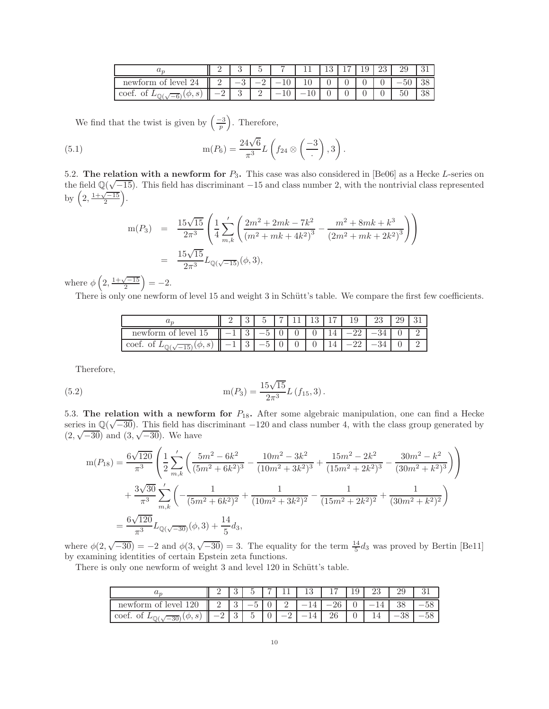|                              |   |   | $\tilde{\phantom{a}}$ |   |  | ⊥∪ | ∠⊍ |                         |    |
|------------------------------|---|---|-----------------------|---|--|----|----|-------------------------|----|
| $ \rho V \rho $<br>∩t<br>new | - |   | -                     |   |  |    | U  | IJU                     |    |
| coet<br>ಲ                    |   | υ | $\Omega$<br>-         | ◡ |  |    |    | $\sim$ $\sim$<br>$\sim$ | ഄഄ |

We find that the twist is given by  $\left(\frac{-3}{p}\right)$ . Therefore,

(5.1) 
$$
m(P_6) = \frac{24\sqrt{6}}{\pi^3} L\left(f_{24} \otimes \left(-\frac{3}{4}\right), 3\right).
$$

5.2. The relation with a newform for  $P_3$ . This case was also considered in [Be06] as a Hecke L-series on the field  $\mathbb{Q}(\sqrt{-15})$ . This field has discriminant  $-15$  and class number 2, with the nontrivial class represented by  $\left(2, \frac{1+\sqrt{-15}}{2}\right)$ .

$$
m(P_3) = \frac{15\sqrt{15}}{2\pi^3} \left( \frac{1}{4} \sum_{m,k}^{\prime} \left( \frac{2m^2 + 2mk - 7k^2}{(m^2 + mk + 4k^2)^3} - \frac{m^2 + 8mk + k^3}{(2m^2 + mk + 2k^2)^3} \right) \right)
$$
  
= 
$$
\frac{15\sqrt{15}}{2\pi^3} L_{\mathbb{Q}(\sqrt{-15})}(\phi, 3),
$$

where  $\phi\left(2, \frac{1+\sqrt{-15}}{2}\right) = -2.$ 

There is only one newform of level 15 and weight 3 in Schütt's table. We compare the first few coefficients.

| uη                  | $\ddot{\bullet}$ |                       | − | ച | ∽ | $\cdot$ |  |  |
|---------------------|------------------|-----------------------|---|---|---|---------|--|--|
| newform<br>ot level | $\Omega$<br>ಀ    |                       |   |   |   |         |  |  |
| e<br>coe:<br>↩      | $\Omega$<br>ಀ    | $\tilde{\phantom{a}}$ | ◡ |   |   |         |  |  |

Therefore,

(5.2) 
$$
m(P_3) = \frac{15\sqrt{15}}{2\pi^3}L(f_{15}, 3).
$$

5.3. The relation with a newform for  $P_{18}$ . After some algebraic manipulation, one can find a Hecke series in  $\mathbb{Q}(\sqrt{-30})$ . This field has discriminant  $-120$  and class number 4, with the class group generated by  $(2, \sqrt{-30})$  and  $(3, \sqrt{-30})$ . We have

$$
m(P_{18}) = \frac{6\sqrt{120}}{\pi^3} \left( \frac{1}{2} \sum_{m,k}^{\prime} \left( \frac{5m^2 - 6k^2}{(5m^2 + 6k^2)^3} - \frac{10m^2 - 3k^2}{(10m^2 + 3k^2)^3} + \frac{15m^2 - 2k^2}{(15m^2 + 2k^2)^3} - \frac{30m^2 - k^2}{(30m^2 + k^2)^3} \right) \right)
$$
  
+ 
$$
\frac{3\sqrt{30}}{\pi^3} \sum_{m,k}^{\prime} \left( -\frac{1}{(5m^2 + 6k^2)^2} + \frac{1}{(10m^2 + 3k^2)^2} - \frac{1}{(15m^2 + 2k^2)^2} + \frac{1}{(30m^2 + k^2)^2} \right)
$$
  
= 
$$
\frac{6\sqrt{120}}{\pi^3} L_{\mathbb{Q}(\sqrt{-30})}(\phi, 3) + \frac{14}{5} d_3,
$$

where  $\phi(2,\sqrt{-30}) = -2$  and  $\phi(3,\sqrt{-30}) = 3$ . The equality for the term  $\frac{14}{5}d_3$  was proved by Bertin [Be11] by examining identities of certain Epstein zeta functions.

There is only one newform of weight 3 and level 120 in Schütt's table.

| $\omega$                    | -             | ್ಮ            |                            | - |   | 13 |          | TЭ | ∠⊍ | ∠ఎ |  |
|-----------------------------|---------------|---------------|----------------------------|---|---|----|----------|----|----|----|--|
| level<br>$\cap^*$<br>newfor | $\Omega$<br>- | $\Omega$<br>◡ |                            | v | - |    |          |    |    | ಀ  |  |
| $\cdot$ coen.<br><br>30     |               | $\Omega$<br>◡ | $\tilde{\phantom{a}}$<br>ບ | v | - |    | n۵<br>∠∪ |    |    |    |  |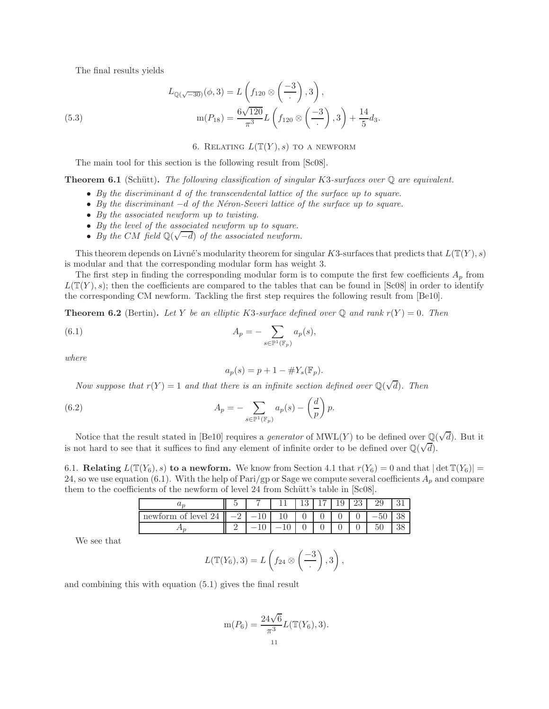The final results yields

(5.3) 
$$
L_{\mathbb{Q}(\sqrt{-30})}(\phi,3) = L\left(f_{120} \otimes \left(-\frac{3}{\cdot}\right),3\right),
$$

$$
m(P_{18}) = \frac{6\sqrt{120}}{\pi^3}L\left(f_{120} \otimes \left(-\frac{3}{\cdot}\right),3\right) + \frac{14}{5}d_3.
$$

6. RELATING  $L(T(Y), s)$  to a newform

The main tool for this section is the following result from [Sc08].

**Theorem 6.1** (Schütt). The following classification of singular K3-surfaces over  $\mathbb Q$  are equivalent.

- By the discriminant d of the transcendental lattice of the surface up to square.
- By the discriminant  $-d$  of the Néron-Severi lattice of the surface up to square.
- By the associated newform up to twisting.
- By the level of the associated newform up to square.
- By the CM field  $\mathbb{Q}(\sqrt{-d})$  of the associated newform.

This theorem depends on Livné's modularity theorem for singular K3-surfaces that predicts that  $L(\mathbb{T}(Y), s)$ is modular and that the corresponding modular form has weight 3.

The first step in finding the corresponding modular form is to compute the first few coefficients  $A_p$  from  $L(\mathbb{T}(Y), s)$ ; then the coefficients are compared to the tables that can be found in [Sc08] in order to identify the corresponding CM newform. Tackling the first step requires the following result from [Be10].

**Theorem 6.2** (Bertin). Let Y be an elliptic K3-surface defined over Q and rank  $r(Y) = 0$ . Then

(6.1) 
$$
A_p = -\sum_{s \in \mathbb{P}^1(\mathbb{F}_p)} a_p(s),
$$

where

$$
a_p(s) = p + 1 - \#Y_s(\mathbb{F}_p).
$$

Now suppose that  $r(Y) = 1$  and that there is an infinite section defined over  $\mathbb{Q}(\sqrt{d})$ . Then

(6.2) 
$$
A_p = -\sum_{s \in \mathbb{P}^1(\mathbb{F}_p)} a_p(s) - \left(\frac{d}{p}\right)p.
$$

Notice that the result stated in [Be10] requires a *generator* of  $\text{MWL}(Y)$  to be defined over  $\mathbb{Q}(\sqrt{d})$ . But it is not hard to see that it suffices to find any element of infinite order to be defined over  $\mathbb{Q}(\sqrt{d})$ .

6.1. Relating  $L(\mathbb{T}(Y_6), s)$  to a newform. We know from Section 4.1 that  $r(Y_6) = 0$  and that  $|\det \mathbb{T}(Y_6)| =$ 24, so we use equation (6.1). With the help of Pari/gp or Sage we compute several coefficients  $A_p$  and compare them to the coefficients of the newform of level 24 from Schütt's table in [Sc08].

| $u_{\gamma}$           |   |  | -63 | ⊥∪ | ∠⊍ |                       |  |
|------------------------|---|--|-----|----|----|-----------------------|--|
| level<br>∩t<br>newform | - |  |     |    |    |                       |  |
| 4.1 <sub>Y</sub>       |   |  |     |    |    | $\tilde{\phantom{a}}$ |  |

We see that

$$
L(\mathbb{T}(Y_6),3)=L\left(f_{24}\otimes\left(\frac{-3}{\cdot}\right),3\right),\,
$$

and combining this with equation (5.1) gives the final result

$$
m(P_6) = \frac{24\sqrt{6}}{\pi^3} L(\mathbb{T}(Y_6), 3).
$$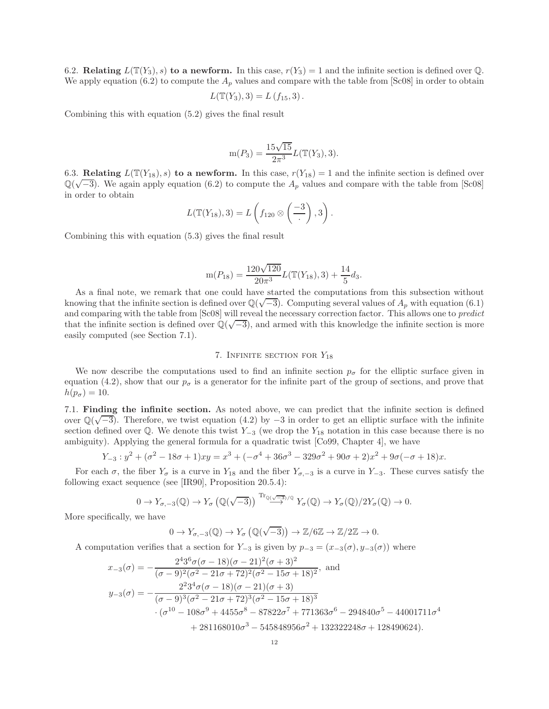6.2. Relating  $L(\mathbb{T}(Y_3), s)$  to a newform. In this case,  $r(Y_3) = 1$  and the infinite section is defined over Q. We apply equation (6.2) to compute the  $A_p$  values and compare with the table from [Sc08] in order to obtain

$$
L(\mathbb{T}(Y_3), 3) = L(f_{15}, 3).
$$

Combining this with equation (5.2) gives the final result

$$
m(P_3) = \frac{15\sqrt{15}}{2\pi^3} L(\mathbb{T}(Y_3), 3).
$$

6.3. Relating  $L(\mathbb{T}(Y_{18}), s)$  to a newform. In this case,  $r(Y_{18}) = 1$  and the infinite section is defined over  $\mathbb{Q}(\sqrt{-3})$ . We again apply equation (6.2) to compute the  $A_p$  values and compare with the table from [Sc08] in order to obtain

$$
L(\mathbb{T}(Y_{18}),3)=L\left(f_{120}\otimes\left(\frac{-3}{\cdot}\right),3\right).
$$

Combining this with equation (5.3) gives the final result

$$
m(P_{18}) = \frac{120\sqrt{120}}{20\pi^3}L(\mathbb{T}(Y_{18}),3) + \frac{14}{5}d_3.
$$

As a final note, we remark that one could have started the computations from this subsection without knowing that the infinite section is defined over  $\mathbb{Q}(\sqrt{-3})$ . Computing several values of  $A_p$  with equation (6.1) and comparing with the table from [Sc08] will reveal the necessary correction factor. This allows one to predict that the infinite section is defined over  $\mathbb{Q}(\sqrt{-3})$ , and armed with this knowledge the infinite section is more easily computed (see Section 7.1).

# 7. INFINITE SECTION FOR  $Y_{18}$

We now describe the computations used to find an infinite section  $p_{\sigma}$  for the elliptic surface given in equation (4.2), show that our  $p_{\sigma}$  is a generator for the infinite part of the group of sections, and prove that  $h(p_{\sigma})=10.$ 

7.1. Finding the infinite section. As noted above, we can predict that the infinite section is defined over  $\mathbb{Q}(\sqrt{-3})$ . Therefore, we twist equation (4.2) by  $-3$  in order to get an elliptic surface with the infinite section defined over  $\mathbb{Q}$ . We denote this twist Y<sub>−3</sub> (we drop the Y<sub>18</sub> notation in this case because there is no ambiguity). Applying the general formula for a quadratic twist [Co99, Chapter 4], we have

$$
Y_{-3}: y^2 + (\sigma^2 - 18\sigma + 1)xy = x^3 + (-\sigma^4 + 36\sigma^3 - 329\sigma^2 + 90\sigma + 2)x^2 + 9\sigma(-\sigma + 18)x.
$$

For each  $\sigma$ , the fiber  $Y_{\sigma}$  is a curve in  $Y_{18}$  and the fiber  $Y_{\sigma,-3}$  is a curve in  $Y_{-3}$ . These curves satisfy the following exact sequence (see [IR90], Proposition 20.5.4):

$$
0 \to Y_{\sigma,-3}(\mathbb{Q}) \to Y_{\sigma}(\mathbb{Q}(\sqrt{-3})) \xrightarrow{\mathrm{Tr}_{\mathbb{Q}(\sqrt{-3})/\mathbb{Q}}} Y_{\sigma}(\mathbb{Q}) \to Y_{\sigma}(\mathbb{Q})/2Y_{\sigma}(\mathbb{Q}) \to 0.
$$

More specifically, we have

$$
0 \to Y_{\sigma,-3}(\mathbb{Q}) \to Y_{\sigma}(\mathbb{Q}(\sqrt{-3})) \to \mathbb{Z}/6\mathbb{Z} \to \mathbb{Z}/2\mathbb{Z} \to 0.
$$

A computation verifies that a section for  $Y_{-3}$  is given by  $p_{-3} = (x_{-3}(\sigma), y_{-3}(\sigma))$  where

$$
x_{-3}(\sigma) = -\frac{2^4 3^6 \sigma (\sigma - 18)(\sigma - 21)^2 (\sigma + 3)^2}{(\sigma - 9)^2 (\sigma^2 - 21\sigma + 72)^2 (\sigma^2 - 15\sigma + 18)^2}, \text{ and}
$$
  
\n
$$
y_{-3}(\sigma) = -\frac{2^2 3^4 \sigma (\sigma - 18)(\sigma - 21)(\sigma + 3)}{(\sigma - 9)^3 (\sigma^2 - 21\sigma + 72)^3 (\sigma^2 - 15\sigma + 18)^3}
$$
  
\n
$$
\cdot (\sigma^{10} - 108\sigma^9 + 4455\sigma^8 - 87822\sigma^7 + 771363\sigma^6 - 294840\sigma^5 - 44001711\sigma^4 + 281168010\sigma^3 - 545848956\sigma^2 + 132322248\sigma + 128490624).
$$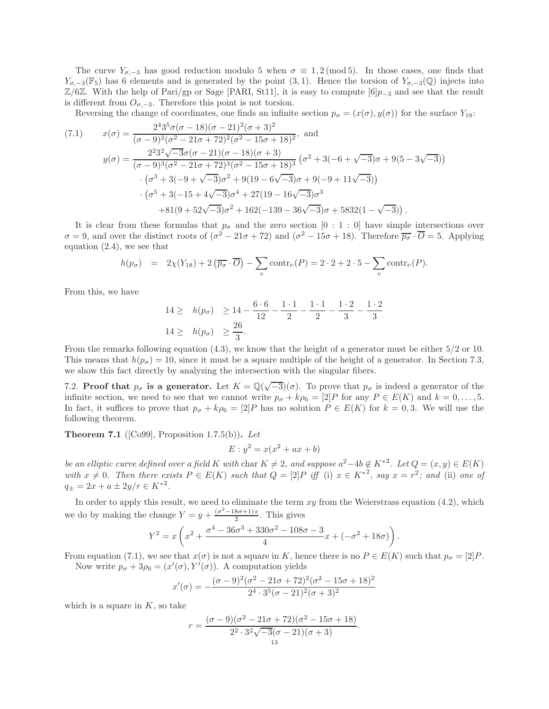The curve  $Y_{\sigma,-3}$  has good reduction modulo 5 when  $\sigma \equiv 1, 2 \pmod{5}$ . In those cases, one finds that  $Y_{\sigma,-3}(\mathbb{F}_5)$  has 6 elements and is generated by the point (3, 1). Hence the torsion of  $Y_{\sigma,-3}(\mathbb{Q})$  injects into  $\mathbb{Z}/6\mathbb{Z}$ . With the help of Pari/gp or Sage [PARI, St11], it is easy to compute [6] $p_{-3}$  and see that the result is different from  $O_{\sigma,-3}$ . Therefore this point is not torsion.

Reversing the change of coordinates, one finds an infinite section  $p_{\sigma} = (x(\sigma), y(\sigma))$  for the surface  $Y_{18}$ :

(7.1) 
$$
x(\sigma) = \frac{2^4 3^5 \sigma (\sigma - 18)(\sigma - 21)^2 (\sigma + 3)^2}{(\sigma - 9)^2 (\sigma^2 - 21\sigma + 72)^2 (\sigma^2 - 15\sigma + 18)^2}, \text{ and}
$$

$$
y(\sigma) = \frac{2^2 3^2 \sqrt{-3} \sigma (\sigma - 21)(\sigma - 18)(\sigma + 3)}{(\sigma - 9)^3 (\sigma^2 - 21\sigma + 72)^3 (\sigma^2 - 15\sigma + 18)^3} (\sigma^2 + 3(-6 + \sqrt{-3})\sigma + 9(5 - 3\sqrt{-3}))
$$

$$
\cdot (\sigma^3 + 3(-9 + \sqrt{-3})\sigma^2 + 9(19 - 6\sqrt{-3})\sigma + 9(-9 + 11\sqrt{-3}))
$$

$$
\cdot (\sigma^5 + 3(-15 + 4\sqrt{-3})\sigma^4 + 27(19 - 16\sqrt{-3})\sigma^3 + 81(9 + 52\sqrt{-3})\sigma^2 + 162(-139 - 36\sqrt{-3})\sigma + 5832(1 - \sqrt{-3})).
$$

It is clear from these formulas that  $p_{\sigma}$  and the zero section [0 : 1 : 0] have simple intersections over  $\sigma = 9$ , and over the distinct roots of  $(\sigma^2 - 21\sigma + 72)$  and  $(\sigma^2 - 15\sigma + 18)$ . Therefore  $\overline{p_{\sigma}} \cdot \overline{O} = 5$ . Applying equation (2.4), we see that

$$
h(p_{\sigma}) = 2\chi(Y_{18}) + 2(\overline{p_{\sigma}} \cdot \overline{O}) - \sum_{v} \text{contr}_{\nu}(P) = 2 \cdot 2 + 2 \cdot 5 - \sum_{v} \text{contr}_{\nu}(P).
$$

From this, we have

$$
14 \ge h(p_{\sigma}) \ge 14 - \frac{6 \cdot 6}{12} - \frac{1 \cdot 1}{2} - \frac{1 \cdot 1}{2} - \frac{1 \cdot 2}{3} - \frac{1 \cdot 2}{3}
$$
  

$$
14 \ge h(p_{\sigma}) \ge \frac{26}{3}.
$$

From the remarks following equation (4.3), we know that the height of a generator must be either 5/2 or 10. This means that  $h(p_{\sigma}) = 10$ , since it must be a square multiple of the height of a generator. In Section 7.3, we show this fact directly by analyzing the intersection with the singular fibers.

7.2. **Proof that**  $p_{\sigma}$  is a generator. Let  $K = \mathbb{Q}(\sqrt{-3})(\sigma)$ . To prove that  $p_{\sigma}$  is indeed a generator of the infinite section, we need to see that we cannot write  $p_{\sigma} + k\rho_6 = [2]P$  for any  $P \in E(K)$  and  $k = 0, \ldots, 5$ . In fact, it suffices to prove that  $p_{\sigma} + k\rho_6 = [2]P$  has no solution  $P \in E(K)$  for  $k = 0, 3$ . We will use the following theorem.

**Theorem 7.1** ([Co99], Proposition 1.7.5(b)). Let

$$
E: y^2 = x(x^2 + ax + b)
$$

be an elliptic curve defined over a field K with char  $K \neq 2$ , and suppose  $a^2-4b \notin K^{*2}$ . Let  $Q = (x, y) \in E(K)$ with  $x \neq 0$ . Then there exists  $P \in E(K)$  such that  $Q = [2]P$  iff (i)  $x \in K^{*2}$ , say  $x = r^2$ ; and (ii) one of  $q_{\pm} = 2x + a \pm 2y/r \in K^{*2}.$ 

In order to apply this result, we need to eliminate the term  $xy$  from the Weierstrass equation (4.2), which we do by making the change  $Y = y + \frac{(\sigma^2 - 18\sigma + 1)x}{2}$ . This gives

$$
Y^2 = x \left( x^2 + \frac{\sigma^4 - 36\sigma^3 + 330\sigma^2 - 108\sigma - 3}{4}x + (-\sigma^2 + 18\sigma) \right).
$$

From equation (7.1), we see that  $x(\sigma)$  is not a square in K, hence there is no  $P \in E(K)$  such that  $p_{\sigma} = [2]P$ . Now write  $p_{\sigma} + 3p_{6} = (x'(\sigma), Y'(\sigma))$ . A computation yields

$$
x'(\sigma) = -\frac{(\sigma - 9)^2(\sigma^2 - 21\sigma + 72)^2(\sigma^2 - 15\sigma + 18)^2}{2^4 \cdot 3^5(\sigma - 21)^2(\sigma + 3)^2}
$$

which is a square in  $K$ , so take

$$
r = \frac{(\sigma - 9)(\sigma^2 - 21\sigma + 72)(\sigma^2 - 15\sigma + 18)}{2^2 \cdot 3^2 \sqrt{-3} (\sigma - 21)(\sigma + 3)}.
$$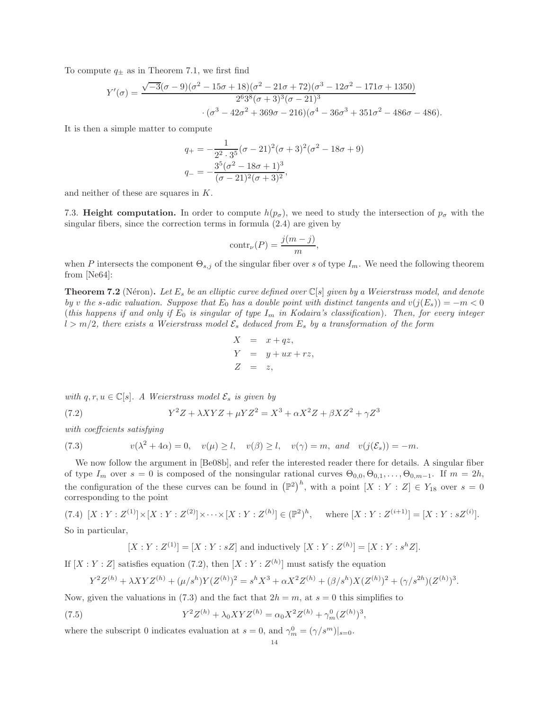To compute  $q_{\pm}$  as in Theorem 7.1, we first find

$$
Y'(\sigma) = \frac{\sqrt{-3}(\sigma - 9)(\sigma^2 - 15\sigma + 18)(\sigma^2 - 21\sigma + 72)(\sigma^3 - 12\sigma^2 - 171\sigma + 1350)}{2^6 3^8 (\sigma + 3)^3 (\sigma - 21)^3}
$$

$$
\cdot (\sigma^3 - 42\sigma^2 + 369\sigma - 216)(\sigma^4 - 36\sigma^3 + 351\sigma^2 - 486\sigma - 486).
$$

It is then a simple matter to compute

$$
q_{+} = -\frac{1}{2^{2} \cdot 3^{5}} (\sigma - 21)^{2} (\sigma + 3)^{2} (\sigma^{2} - 18\sigma + 9)
$$

$$
q_{-} = -\frac{3^{5} (\sigma^{2} - 18\sigma + 1)^{3}}{(\sigma - 21)^{2} (\sigma + 3)^{2}},
$$

and neither of these are squares in K.

7.3. Height computation. In order to compute  $h(p_{\sigma})$ , we need to study the intersection of  $p_{\sigma}$  with the singular fibers, since the correction terms in formula (2.4) are given by

$$
contr_{\nu}(P) = \frac{j(m-j)}{m},
$$

when P intersects the component  $\Theta_{s,i}$  of the singular fiber over s of type  $I_m$ . We need the following theorem from [Ne64]:

**Theorem 7.2** (Néron). Let  $E_s$  be an elliptic curve defined over  $\mathbb{C}[s]$  given by a Weierstrass model, and denote by v the s-adic valuation. Suppose that  $E_0$  has a double point with distinct tangents and  $v(j(E_s)) = -m < 0$ (this happens if and only if  $E_0$  is singular of type  $I_m$  in Kodaira's classification). Then, for every integer  $l > m/2$ , there exists a Weierstrass model  $\mathcal{E}_s$  deduced from  $E_s$  by a transformation of the form

$$
X = x + qz,
$$
  
\n
$$
Y = y + ux + rz,
$$
  
\n
$$
Z = z,
$$

with  $q, r, u \in \mathbb{C}[s]$ . A Weierstrass model  $\mathcal{E}_s$  is given by

 $(7.2)$  $Y^2Z + \lambda XYZ + \mu YZ^2 = X^3 + \alpha X^2Z + \beta XZ^2 + \gamma Z^3$ 

with coeffcients satisfying

(7.3) 
$$
v(\lambda^2 + 4\alpha) = 0, \quad v(\mu) \ge l, \quad v(\beta) \ge l, \quad v(\gamma) = m, \text{ and } v(j(\mathcal{E}_s)) = -m.
$$

We now follow the argument in [Be08b], and refer the interested reader there for details. A singular fiber of type  $I_m$  over  $s = 0$  is composed of the nonsingular rational curves  $\Theta_{0,0}, \Theta_{0,1}, \ldots, \Theta_{0,m-1}$ . If  $m = 2h$ , the configuration of the these curves can be found in  $(\mathbb{P}^2)^h$ , with a point  $[X:Y:Z] \in Y_{18}$  over  $s=0$ corresponding to the point

 $(7.4) \ [X:Y:Z^{(1)}] \times [X:Y:Z^{(2)}] \times \cdots \times [X:Y:Z^{(h)}] \in (\mathbb{P}^2)^h$ , where  $[X:Y:Z^{(i+1)}] = [X:Y:z^{(i)}]$ .

So in particular,

$$
[X:Y:Z^{(1)}] = [X:Y: sZ] \text{ and inductively } [X:Y:Z^{(h)}] = [X:Y: s^h Z].
$$

If  $[X:Y:Z]$  satisfies equation (7.2), then  $[X:Y:Z^{(h)}]$  must satisfy the equation

$$
Y^{2}Z^{(h)} + \lambda XYZ^{(h)} + (\mu/s^{h})Y(Z^{(h)})^{2} = s^{h}X^{3} + \alpha X^{2}Z^{(h)} + (\beta/s^{h})X(Z^{(h)})^{2} + (\gamma/s^{2h})(Z^{(h)})^{3}.
$$

Now, given the valuations in (7.3) and the fact that  $2h = m$ , at  $s = 0$  this simplifies to

(7.5) 
$$
Y^{2}Z^{(h)} + \lambda_{0}XYZ^{(h)} = \alpha_{0}X^{2}Z^{(h)} + \gamma_{m}^{0}(Z^{(h)})^{3}
$$

where the subscript 0 indicates evaluation at  $s = 0$ , and  $\gamma_m^0 = (\gamma/s^m)|_{s=0}$ .

,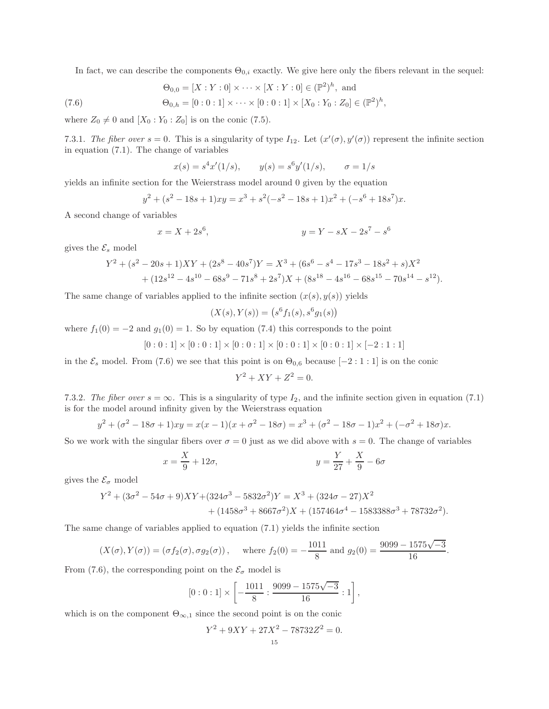In fact, we can describe the components  $\Theta_{0,i}$  exactly. We give here only the fibers relevant in the sequel:

(7.6) 
$$
\Theta_{0,0} = [X : Y : 0] \times \cdots \times [X : Y : 0] \in (\mathbb{P}^2)^h, \text{ and}
$$

$$
\Theta_{0,h} = [0 : 0 : 1] \times \cdots \times [0 : 0 : 1] \times [X_0 : Y_0 : Z_0] \in (\mathbb{P}^2)^h,
$$

where  $Z_0 \neq 0$  and  $[X_0 : Y_0 : Z_0]$  is on the conic (7.5).

7.3.1. The fiber over  $s = 0$ . This is a singularity of type  $I_{12}$ . Let  $(x'(\sigma), y'(\sigma))$  represent the infinite section in equation (7.1). The change of variables

$$
x(s) = s4x'(1/s),
$$
  $y(s) = s6y'(1/s),$   $\sigma = 1/s$ 

yields an infinite section for the Weierstrass model around 0 given by the equation

$$
y^{2} + (s^{2} - 18s + 1)xy = x^{3} + s^{2}(-s^{2} - 18s + 1)x^{2} + (-s^{6} + 18s^{7})x.
$$

A second change of variables

$$
x = X + 2s6, \t\t y = Y - sX - 2s7 - s6
$$

gives the  $\mathcal{E}_s$  model

$$
Y^2 + (s^2 - 20s + 1)XY + (2s^8 - 40s^7)Y = X^3 + (6s^6 - s^4 - 17s^3 - 18s^2 + s)X^2
$$
  
+ 
$$
(12s^{12} - 4s^{10} - 68s^9 - 71s^8 + 2s^7)X + (8s^{18} - 4s^{16} - 68s^{15} - 70s^{14} - s^{12}).
$$

The same change of variables applied to the infinite section  $(x(s), y(s))$  yields

$$
(X(s), Y(s)) = (s6f1(s), s6g1(s))
$$

where  $f_1(0) = -2$  and  $g_1(0) = 1$ . So by equation (7.4) this corresponds to the point

$$
[0:0:1] \times [0:0:1] \times [0:0:1] \times [0:0:1] \times [0:0:1] \times [-2:1:1]
$$

in the  $\mathcal{E}_s$  model. From (7.6) we see that this point is on  $\Theta_{0,6}$  because [−2 : 1 : 1] is on the conic

$$
Y^2 + XY + Z^2 = 0.
$$

7.3.2. The fiber over  $s = \infty$ . This is a singularity of type  $I_2$ , and the infinite section given in equation (7.1) is for the model around infinity given by the Weierstrass equation

$$
y^{2} + (\sigma^{2} - 18\sigma + 1)xy = x(x - 1)(x + \sigma^{2} - 18\sigma) = x^{3} + (\sigma^{2} - 18\sigma - 1)x^{2} + (-\sigma^{2} + 18\sigma)x.
$$

So we work with the singular fibers over  $\sigma = 0$  just as we did above with  $s = 0$ . The change of variables

$$
x = \frac{X}{9} + 12\sigma, \qquad y = \frac{Y}{27} + \frac{X}{9} - 6\sigma
$$

gives the  $\mathcal{E}_{\sigma}$  model

$$
Y^2 + (3\sigma^2 - 54\sigma + 9)XY + (324\sigma^3 - 5832\sigma^2)Y = X^3 + (324\sigma - 27)X^2
$$
  
+ 
$$
(1458\sigma^3 + 8667\sigma^2)X + (157464\sigma^4 - 1583388\sigma^3 + 78732\sigma^2).
$$

The same change of variables applied to equation (7.1) yields the infinite section

$$
(X(\sigma), Y(\sigma)) = (\sigma f_2(\sigma), \sigma g_2(\sigma)),
$$
 where  $f_2(0) = -\frac{1011}{8}$  and  $g_2(0) = \frac{9099 - 1575\sqrt{-3}}{16}$ .

From (7.6), the corresponding point on the  $\mathcal{E}_{\sigma}$  model is

$$
[0:0:1] \times \left[ -\frac{1011}{8} : \frac{9099 - 1575\sqrt{-3}}{16} : 1 \right],
$$

which is on the component  $\Theta_{\infty,1}$  since the second point is on the conic

$$
Y^2 + 9XY + 27X^2 - 78732Z^2 = 0.
$$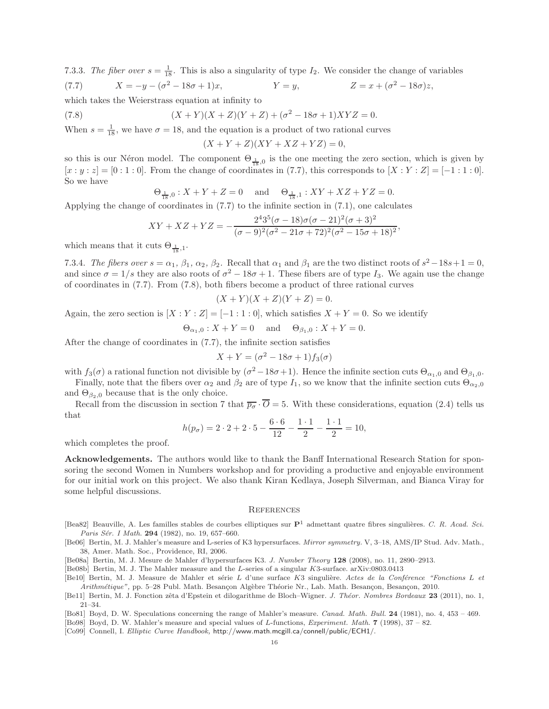7.3.3. The fiber over  $s = \frac{1}{18}$ . This is also a singularity of type  $I_2$ . We consider the change of variables (7.7)  $X = -y - (\sigma^2 - 18\sigma + 1)x$ ,  $Y = y$ ,  $Z = x + (\sigma^2 - 18\sigma)z$ ,  $Z = x + (\sigma^2 - 18\sigma)z.$ 

which takes the Weierstrass equation at infinity to

(7.8)  $(X + Y)(X + Z)(Y + Z) + (\sigma^2 - 18\sigma + 1)XYZ = 0.$ 

When  $s = \frac{1}{18}$ , we have  $\sigma = 18$ , and the equation is a product of two rational curves

 $(X + Y + Z)(XY + XZ + YZ) = 0,$ 

so this is our Néron model. The component  $\Theta_{\frac{1}{18},0}$  is the one meeting the zero section, which is given by  $[x:y:z] = [0:1:0]$ . From the change of coordinates in (7.7), this corresponds to  $[X:Y:Z] = [-1:1:0]$ . So we have

$$
\Theta_{\frac{1}{18},0}
$$
:  $X + Y + Z = 0$  and  $\Theta_{\frac{1}{18},1}$ :  $XY + XZ + YZ = 0$ .

Applying the change of coordinates in (7.7) to the infinite section in (7.1), one calculates

$$
XY + XZ + YZ = -\frac{2^4 3^5 (\sigma - 18)\sigma(\sigma - 21)^2 (\sigma + 3)^2}{(\sigma - 9)^2 (\sigma^2 - 21\sigma + 72)^2 (\sigma^2 - 15\sigma + 18)^2},
$$

which means that it cuts  $\Theta_{\frac{1}{18},1}$ .

7.3.4. The fibers over  $s = \alpha_1, \beta_1, \alpha_2, \beta_2$ . Recall that  $\alpha_1$  and  $\beta_1$  are the two distinct roots of  $s^2 - 18s + 1 = 0$ , and since  $\sigma = 1/s$  they are also roots of  $\sigma^2 - 18\sigma + 1$ . These fibers are of type  $I_3$ . We again use the change of coordinates in (7.7). From (7.8), both fibers become a product of three rational curves

$$
(X+Y)(X+Z)(Y+Z) = 0.
$$

Again, the zero section is  $[X:Y:Z] = [-1:1:0]$ , which satisfies  $X+Y=0$ . So we identify

$$
\Theta_{\alpha_1,0} : X + Y = 0
$$
 and  $\Theta_{\beta_1,0} : X + Y = 0$ .

After the change of coordinates in (7.7), the infinite section satisfies

$$
X + Y = (\sigma^2 - 18\sigma + 1)f_3(\sigma)
$$

with  $f_3(\sigma)$  a rational function not divisible by  $(\sigma^2 - 18\sigma + 1)$ . Hence the infinite section cuts  $\Theta_{\alpha_1,0}$  and  $\Theta_{\beta_1,0}$ .

Finally, note that the fibers over  $\alpha_2$  and  $\beta_2$  are of type  $I_1$ , so we know that the infinite section cuts  $\Theta_{\alpha_2,0}$ and  $\Theta_{\beta_2,0}$  because that is the only choice.

Recall from the discussion in section 7 that  $\overline{p_{\sigma}} \cdot \overline{O} = 5$ . With these considerations, equation (2.4) tells us that

$$
h(p_{\sigma}) = 2 \cdot 2 + 2 \cdot 5 - \frac{6 \cdot 6}{12} - \frac{1 \cdot 1}{2} - \frac{1 \cdot 1}{2} = 10,
$$

which completes the proof.

Acknowledgements. The authors would like to thank the Banff International Research Station for sponsoring the second Women in Numbers workshop and for providing a productive and enjoyable environment for our initial work on this project. We also thank Kiran Kedlaya, Joseph Silverman, and Bianca Viray for some helpful discussions.

#### **REFERENCES**

- [Bea82] Beauville, A. Les familles stables de courbes elliptiques sur  $\mathbf{P}^1$  admettant quatre fibres singulières. *C. R. Acad. Sci.* Paris Sér. I Math. **294** (1982), no. 19, 657-660.
- [Be06] Bertin, M. J. Mahler's measure and L-series of K3 hypersurfaces. *Mirror symmetry.* V, 3–18, AMS/IP Stud. Adv. Math., 38, Amer. Math. Soc., Providence, RI, 2006.

[Be08a] Bertin, M. J. Mesure de Mahler d'hypersurfaces K3. *J. Number Theory* 128 (2008), no. 11, 2890–2913.

- [Be08b] Bertin, M. J. The Mahler measure and the L-series of a singular K3-surface. arXiv:0803.0413
- [Be10] Bertin, M. J. Measure de Mahler et série L d'une surface K3 singulière. Actes de la Conférence "Fonctions L et *Arithmétique"*, pp. 5–28 Publ. Math. Besançon Algèbre Théorie Nr., Lab. Math. Besançon, Besançon, 2010.

- [Bo81] Boyd, D. W. Speculations concerning the range of Mahler's measure. *Canad. Math. Bull.* 24 (1981), no. 4, 453 469.
- [Bo98] Boyd, D. W. Mahler's measure and special values of L-functions, *Experiment. Math.* 7 (1998), 37 82.
- [Co99] Connell, I. *Elliptic Curve Handbook,* http://www.math.mcgill.ca/connell/public/ECH1/.

<sup>[</sup>Be11] Bertin, M. J. Fonction zêta d'Epstein et dilogarithme de Bloch–Wigner. *J. Théor. Nombres Bordeaux* 23 (2011), no. 1, 21–34.